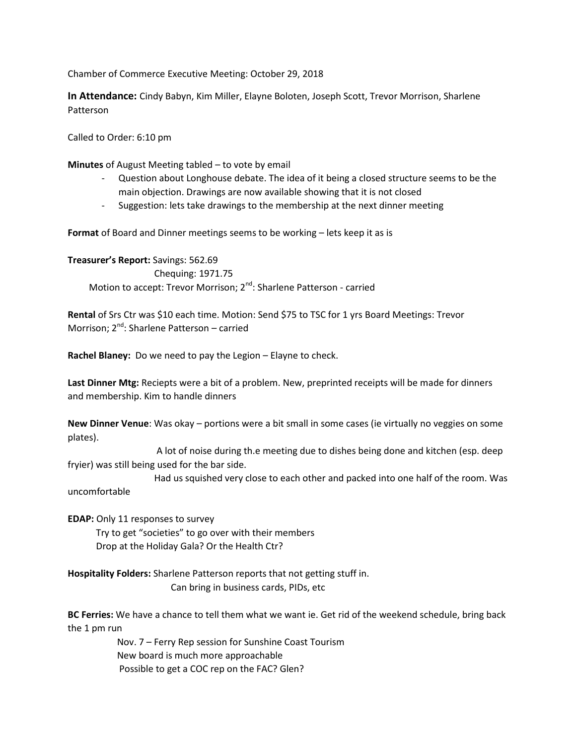Chamber of Commerce Executive Meeting: October 29, 2018

**In Attendance:** Cindy Babyn, Kim Miller, Elayne Boloten, Joseph Scott, Trevor Morrison, Sharlene Patterson

Called to Order: 6:10 pm

**Minutes** of August Meeting tabled – to vote by email

- Question about Longhouse debate. The idea of it being a closed structure seems to be the main objection. Drawings are now available showing that it is not closed
- Suggestion: lets take drawings to the membership at the next dinner meeting

**Format** of Board and Dinner meetings seems to be working – lets keep it as is

**Treasurer's Report:** Savings: 562.69 Chequing: 1971.75 Motion to accept: Trevor Morrison; 2<sup>nd</sup>: Sharlene Patterson - carried

**Rental** of Srs Ctr was \$10 each time. Motion: Send \$75 to TSC for 1 yrs Board Meetings: Trevor Morrison; 2<sup>nd</sup>: Sharlene Patterson – carried

**Rachel Blaney:** Do we need to pay the Legion – Elayne to check.

**Last Dinner Mtg:** Reciepts were a bit of a problem. New, preprinted receipts will be made for dinners and membership. Kim to handle dinners

**New Dinner Venue**: Was okay – portions were a bit small in some cases (ie virtually no veggies on some plates).

 A lot of noise during th.e meeting due to dishes being done and kitchen (esp. deep fryier) was still being used for the bar side.

 Had us squished very close to each other and packed into one half of the room. Was uncomfortable

**EDAP:** Only 11 responses to survey Try to get "societies" to go over with their members Drop at the Holiday Gala? Or the Health Ctr?

**Hospitality Folders:** Sharlene Patterson reports that not getting stuff in. Can bring in business cards, PIDs, etc

**BC Ferries:** We have a chance to tell them what we want ie. Get rid of the weekend schedule, bring back the 1 pm run

> Nov. 7 – Ferry Rep session for Sunshine Coast Tourism New board is much more approachable Possible to get a COC rep on the FAC? Glen?